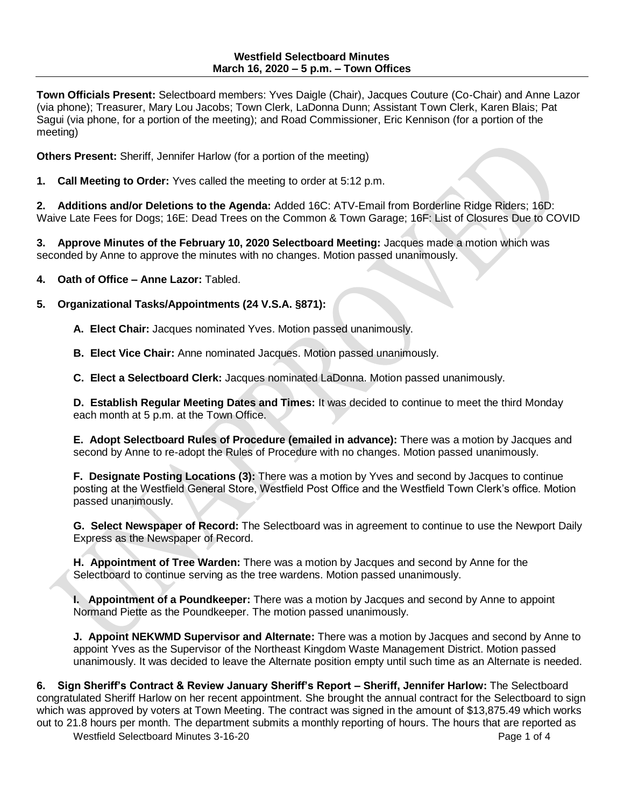**Town Officials Present:** Selectboard members: Yves Daigle (Chair), Jacques Couture (Co-Chair) and Anne Lazor (via phone); Treasurer, Mary Lou Jacobs; Town Clerk, LaDonna Dunn; Assistant Town Clerk, Karen Blais; Pat Sagui (via phone, for a portion of the meeting); and Road Commissioner, Eric Kennison (for a portion of the meeting)

**Others Present:** Sheriff, Jennifer Harlow (for a portion of the meeting)

**1. Call Meeting to Order:** Yves called the meeting to order at 5:12 p.m.

**2. Additions and/or Deletions to the Agenda:** Added 16C: ATV-Email from Borderline Ridge Riders; 16D: Waive Late Fees for Dogs; 16E: Dead Trees on the Common & Town Garage; 16F: List of Closures Due to COVID

**3. Approve Minutes of the February 10, 2020 Selectboard Meeting:** Jacques made a motion which was seconded by Anne to approve the minutes with no changes. Motion passed unanimously.

**4. Oath of Office – Anne Lazor:** Tabled.

## **5. Organizational Tasks/Appointments (24 V.S.A. §871):**

**A. Elect Chair:** Jacques nominated Yves. Motion passed unanimously.

**B. Elect Vice Chair:** Anne nominated Jacques. Motion passed unanimously.

**C. Elect a Selectboard Clerk:** Jacques nominated LaDonna. Motion passed unanimously.

**D. Establish Regular Meeting Dates and Times:** It was decided to continue to meet the third Monday each month at 5 p.m. at the Town Office.

**E. Adopt Selectboard Rules of Procedure (emailed in advance):** There was a motion by Jacques and second by Anne to re-adopt the Rules of Procedure with no changes. Motion passed unanimously.

**F. Designate Posting Locations (3):** There was a motion by Yves and second by Jacques to continue posting at the Westfield General Store, Westfield Post Office and the Westfield Town Clerk's office. Motion passed unanimously.

**G. Select Newspaper of Record:** The Selectboard was in agreement to continue to use the Newport Daily Express as the Newspaper of Record.

**H. Appointment of Tree Warden:** There was a motion by Jacques and second by Anne for the Selectboard to continue serving as the tree wardens. Motion passed unanimously.

**I. Appointment of a Poundkeeper:** There was a motion by Jacques and second by Anne to appoint Normand Piette as the Poundkeeper. The motion passed unanimously.

**J. Appoint NEKWMD Supervisor and Alternate:** There was a motion by Jacques and second by Anne to appoint Yves as the Supervisor of the Northeast Kingdom Waste Management District. Motion passed unanimously. It was decided to leave the Alternate position empty until such time as an Alternate is needed.

Westfield Selectboard Minutes 3-16-20 **Page 1 of 4** Page 1 of 4 **6. Sign Sheriff's Contract & Review January Sheriff's Report – Sheriff, Jennifer Harlow:** The Selectboard congratulated Sheriff Harlow on her recent appointment. She brought the annual contract for the Selectboard to sign which was approved by voters at Town Meeting. The contract was signed in the amount of \$13,875.49 which works out to 21.8 hours per month. The department submits a monthly reporting of hours. The hours that are reported as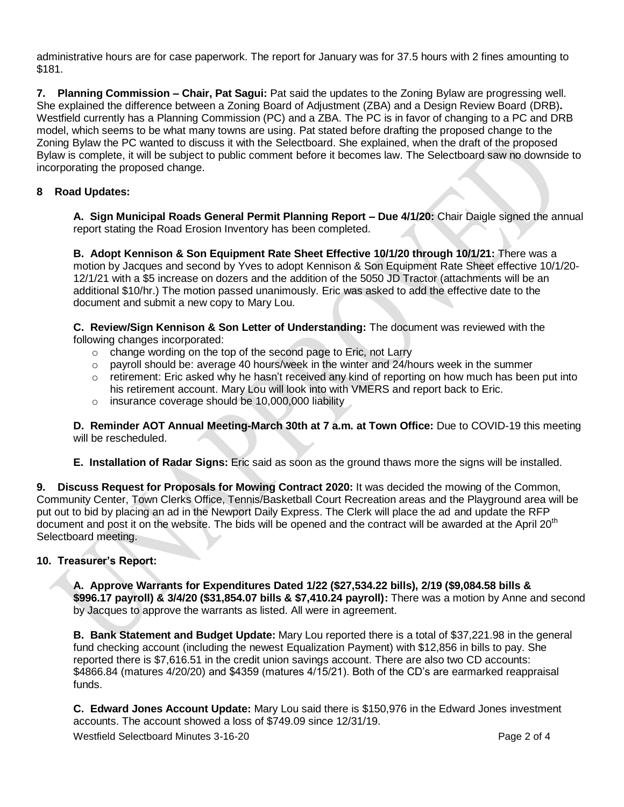administrative hours are for case paperwork. The report for January was for 37.5 hours with 2 fines amounting to \$181.

**7. Planning Commission – Chair, Pat Sagui:** Pat said the updates to the Zoning Bylaw are progressing well. She explained the difference between a Zoning Board of Adjustment (ZBA) and a Design Review Board (DRB)**.**  Westfield currently has a Planning Commission (PC) and a ZBA. The PC is in favor of changing to a PC and DRB model, which seems to be what many towns are using. Pat stated before drafting the proposed change to the Zoning Bylaw the PC wanted to discuss it with the Selectboard. She explained, when the draft of the proposed Bylaw is complete, it will be subject to public comment before it becomes law. The Selectboard saw no downside to incorporating the proposed change.

# **8 Road Updates:**

**A. Sign Municipal Roads General Permit Planning Report – Due 4/1/20:** Chair Daigle signed the annual report stating the Road Erosion Inventory has been completed.

**B. Adopt Kennison & Son Equipment Rate Sheet Effective 10/1/20 through 10/1/21:** There was a motion by Jacques and second by Yves to adopt Kennison & Son Equipment Rate Sheet effective 10/1/20- 12/1/21 with a \$5 increase on dozers and the addition of the 5050 JD Tractor (attachments will be an additional \$10/hr.) The motion passed unanimously. Eric was asked to add the effective date to the document and submit a new copy to Mary Lou.

**C. Review/Sign Kennison & Son Letter of Understanding:** The document was reviewed with the following changes incorporated:

- o change wording on the top of the second page to Eric, not Larry
- $\circ$  payroll should be: average 40 hours/week in the winter and 24/hours week in the summer
- $\circ$  retirement: Eric asked why he hasn't received any kind of reporting on how much has been put into his retirement account. Mary Lou will look into with VMERS and report back to Eric.
- $\circ$  insurance coverage should be 10,000,000 liability

**D. Reminder AOT Annual Meeting-March 30th at 7 a.m. at Town Office:** Due to COVID-19 this meeting will be rescheduled.

## **E. Installation of Radar Signs:** Eric said as soon as the ground thaws more the signs will be installed.

**9. Discuss Request for Proposals for Mowing Contract 2020:** It was decided the mowing of the Common, Community Center, Town Clerks Office, Tennis/Basketball Court Recreation areas and the Playground area will be put out to bid by placing an ad in the Newport Daily Express. The Clerk will place the ad and update the RFP document and post it on the website. The bids will be opened and the contract will be awarded at the April 20<sup>th</sup> Selectboard meeting.

## **10. Treasurer's Report:**

**A. Approve Warrants for Expenditures Dated 1/22 (\$27,534.22 bills), 2/19 (\$9,084.58 bills & \$996.17 payroll) & 3/4/20 (\$31,854.07 bills & \$7,410.24 payroll):** There was a motion by Anne and second by Jacques to approve the warrants as listed. All were in agreement.

**B. Bank Statement and Budget Update:** Mary Lou reported there is a total of \$37,221.98 in the general fund checking account (including the newest Equalization Payment) with \$12,856 in bills to pay. She reported there is \$7,616.51 in the credit union savings account. There are also two CD accounts: \$4866.84 (matures 4/20/20) and \$4359 (matures 4/15/21). Both of the CD's are earmarked reappraisal funds.

**C. Edward Jones Account Update:** Mary Lou said there is \$150,976 in the Edward Jones investment accounts. The account showed a loss of \$749.09 since 12/31/19.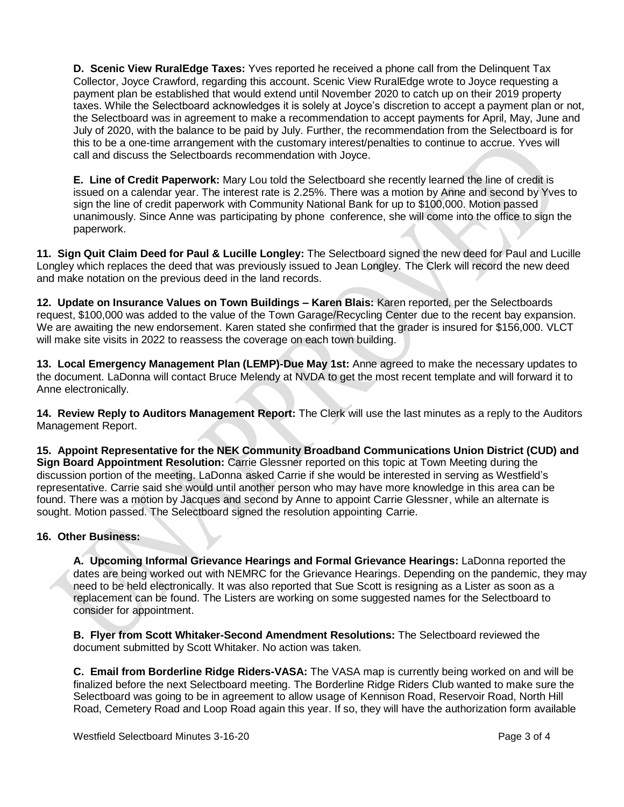**D. Scenic View RuralEdge Taxes:** Yves reported he received a phone call from the Delinquent Tax Collector, Joyce Crawford, regarding this account. Scenic View RuralEdge wrote to Joyce requesting a payment plan be established that would extend until November 2020 to catch up on their 2019 property taxes. While the Selectboard acknowledges it is solely at Joyce's discretion to accept a payment plan or not, the Selectboard was in agreement to make a recommendation to accept payments for April, May, June and July of 2020, with the balance to be paid by July. Further, the recommendation from the Selectboard is for this to be a one-time arrangement with the customary interest/penalties to continue to accrue. Yves will call and discuss the Selectboards recommendation with Joyce.

**E. Line of Credit Paperwork:** Mary Lou told the Selectboard she recently learned the line of credit is issued on a calendar year. The interest rate is 2.25%. There was a motion by Anne and second by Yves to sign the line of credit paperwork with Community National Bank for up to \$100,000. Motion passed unanimously. Since Anne was participating by phone conference, she will come into the office to sign the paperwork.

**11. Sign Quit Claim Deed for Paul & Lucille Longley:** The Selectboard signed the new deed for Paul and Lucille Longley which replaces the deed that was previously issued to Jean Longley. The Clerk will record the new deed and make notation on the previous deed in the land records.

**12. Update on Insurance Values on Town Buildings – Karen Blais:** Karen reported, per the Selectboards request. \$100,000 was added to the value of the Town Garage/Recycling Center due to the recent bay expansion. We are awaiting the new endorsement. Karen stated she confirmed that the grader is insured for \$156,000. VLCT will make site visits in 2022 to reassess the coverage on each town building.

**13. Local Emergency Management Plan (LEMP)-Due May 1st:** Anne agreed to make the necessary updates to the document. LaDonna will contact Bruce Melendy at NVDA to get the most recent template and will forward it to Anne electronically.

**14. Review Reply to Auditors Management Report:** The Clerk will use the last minutes as a reply to the Auditors Management Report.

**15. Appoint Representative for the NEK Community Broadband Communications Union District (CUD) and Sign Board Appointment Resolution:** Carrie Glessner reported on this topic at Town Meeting during the discussion portion of the meeting. LaDonna asked Carrie if she would be interested in serving as Westfield's representative. Carrie said she would until another person who may have more knowledge in this area can be found. There was a motion by Jacques and second by Anne to appoint Carrie Glessner, while an alternate is sought. Motion passed. The Selectboard signed the resolution appointing Carrie.

## **16. Other Business:**

**A. Upcoming Informal Grievance Hearings and Formal Grievance Hearings:** LaDonna reported the dates are being worked out with NEMRC for the Grievance Hearings. Depending on the pandemic, they may need to be held electronically. It was also reported that Sue Scott is resigning as a Lister as soon as a replacement can be found. The Listers are working on some suggested names for the Selectboard to consider for appointment.

**B. Flyer from Scott Whitaker-Second Amendment Resolutions:** The Selectboard reviewed the document submitted by Scott Whitaker. No action was taken.

**C. Email from Borderline Ridge Riders-VASA:** The VASA map is currently being worked on and will be finalized before the next Selectboard meeting. The Borderline Ridge Riders Club wanted to make sure the Selectboard was going to be in agreement to allow usage of Kennison Road, Reservoir Road, North Hill Road, Cemetery Road and Loop Road again this year. If so, they will have the authorization form available